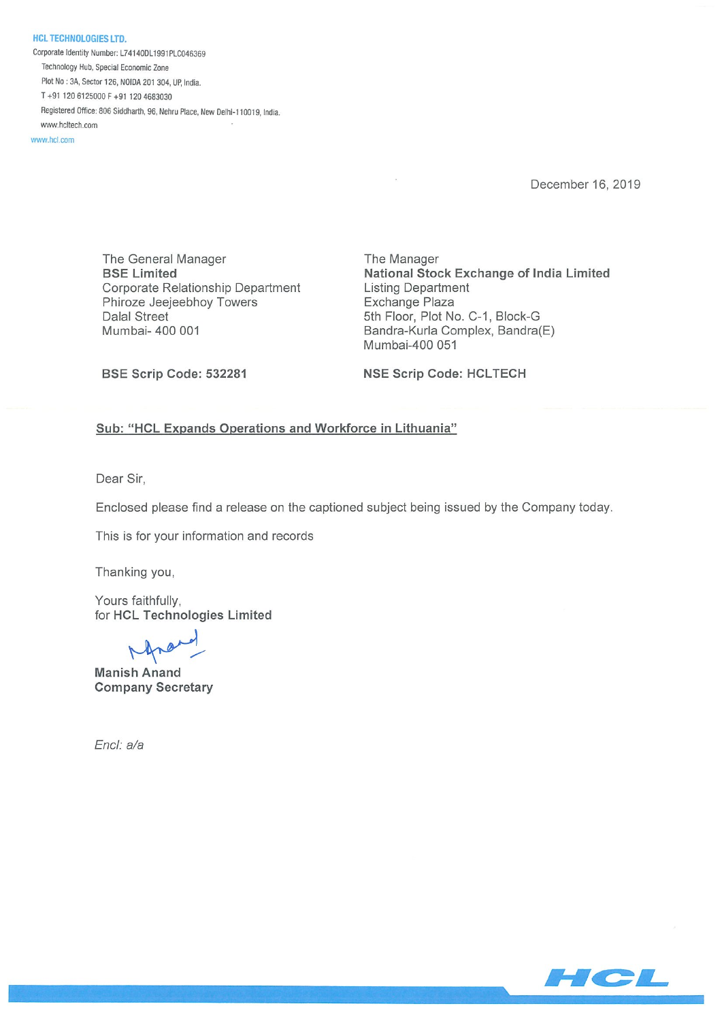HCL TECHNOLOGIES LTD. Corporate Identity Number: L74140DL1991PLC046369 Technology Hub, Special Economic Zone Plot No : 3A, Sector 126, NOIDA 201 304, UP, India. T+91 1206125000F+91 1204683030 Registered Office: 806 Siddharth, 96, Nehru Place, New Delhi-110019, India. www.hcltech.com

www.hcl.com

December 16, 2019

The General Manager The Manager Corporate Relationship Department Listing Department Phiroze Jeejeebhoy Towers **Exchange Plaza** Dalal Street 5th Floor, Plot No. C-1, Block-G Mumbai- 400 001 **Bandra-Kurla Complex, Bandra**(E)

BSE Limited National Stock Exchange of India Limited Mumbai-400 051

BSE Scrip Code: 532281 NSE Scrip Code: HCLTECH

## Sub: "HCL Expands Operations and Workforce in Lithuania"

Dear Sir,

Enclosed please find a release on the captioned subject being issued by the Company today.

This is for your information and records

Thanking you,

Yours faithfully, for HCL Technologies Limited

Manish Anand Company Secretary

End: a/a

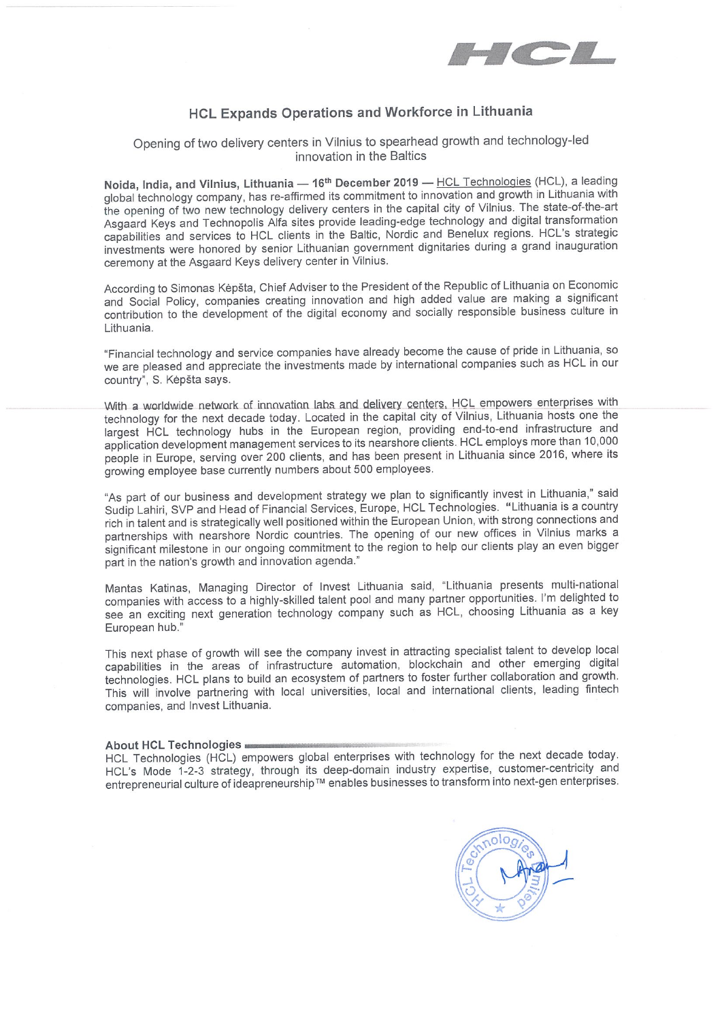

## HCL Expands Operations and Workforce in Lithuania

# Opening of two delivery centers in Vilnius to spearhead growth and technology-led innovation in the Baltics

Noida, India, and Vilnius, Lithuania - 16<sup>th</sup> December 2019 - HCL Technologies (HCL), a leading global technology company, has re-affirmed its commitment to innovation and growth in Lithuania with the opening of two new technology delivery centers in the capital city of Vilnius. The state-of-the-art Asgaard Keys and Technopolis Alfa sites provide leading-edge technology and digital transformation capabilities and services to HCL clients in the Baltic, Nordic and Benelux regions. HCL's strategic investments were honored by senior Lithuanian government dignitaries during a grand inauguration ceremony at the Asgaard Keys delivery center in Vilnius. HCL Expands Operations and Workforce in<br>
Opening of two delivery centers in Vilnius to spearhead growt<br>
innovation in the Baltics<br>
Noida, India, and Vilnius, Lithuania — 16<sup>th</sup> December 2019 — <u>HCL Ts</u><br>
global technology

According to Simonas Kepšta, Chief Adviser to the President of the Republic of Lithuania on Economic and Social Policy, companies creating innovation and high added value are making a significant contribution to the development of the digital economy and socially responsible business culture in Lithuania.

"Financial technology and service companies have already become the cause of pride in Lithuania, so we are pleased and appreciate the investments made by international companies such as HCL in our country", S. Kėpšta says.

With a worldwide network of innovation labs and delivery centers. HCL empowers enterprises with technology for the next decade today. Located in the capital city of Vilnius, Lithuania hosts one the largest HCL technology hubs in the European region, providing end-to-end infrastructure and application development management services to its nearshore clients. HCL employs more than 10,000 people in Europe, serving over 200 clients, and has been present in Lithuania since 2016, where its growing employee base currently numbers about 500 employees.

"As part of our business and development strategy we plan to significantly invest in Lithuania," said Sudip Lahiri, SVP and Head of Financial Services, Europe, HCL Technologies. "Lithuania is a country rich in talent and is strategically well positioned within the European Union, with strong connections and partnerships with nearshore Nordic countries. The opening of our new offices in Vilnius marks a significant milestone in our ongoing commitment to the region to help our clients play an even bigger part in the nation's growth and innovation agenda."

Mantas Katinas, Managing Director of Invest Lithuania said, "Lithuania presents multi-national companies with access to a highly-skilled talent pool and many partner opportunities. I'm delighted to see an exciting next generation technology company such as HCL, choosing Lithuania as a key European hub.'

This next phase of growth will see the company invest in attracting specialist talent to develop local capabilities in the areas of infrastructure automation, blockchain and other emerging digital technologies. HCL plans to build an ecosystem of partners to foster further collaboration and growth. This will involve partnering with local universities, local and international clients, leading fintech companies, and Invest Lithuania.

### About HCL Technologies

HCL Technologies (HCL) empowers global enterprises with technology for the next decade today. HCL's Mode 1-2-3 strategy, through its deep-domain industry expertise, customer-centricity and entrepreneurial culture of ideapreneurship™ enables businesses to transform into next-gen enterprises.